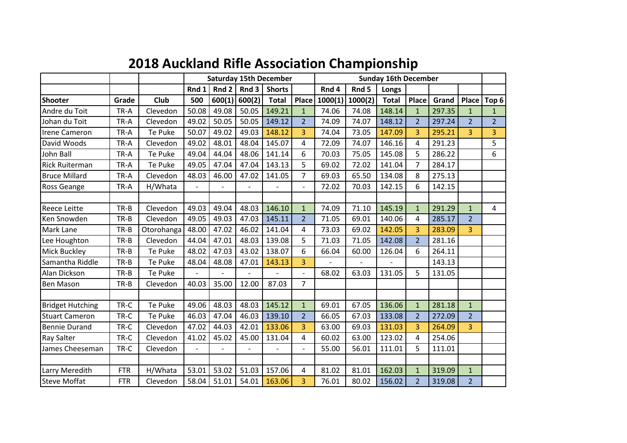|  |  |  | <b>2018 Auckland Rifle Association Championship</b> |  |  |  |
|--|--|--|-----------------------------------------------------|--|--|--|
|--|--|--|-----------------------------------------------------|--|--|--|

|                         |            |            |                |        |                | <b>Saturday 15th December</b> |                | <b>Sunday 16th December</b> |                          |              |                |        |                |                  |
|-------------------------|------------|------------|----------------|--------|----------------|-------------------------------|----------------|-----------------------------|--------------------------|--------------|----------------|--------|----------------|------------------|
|                         |            |            | Rnd 1          | Rnd 2  | Rnd3           | <b>Shorts</b>                 |                | Rnd 4                       | Rnd 5                    | Longs        |                |        |                |                  |
| <b>Shooter</b>          | Grade      | Club       | 500            | 600(1) | 600(2)         | <b>Total</b>                  | Place          | 1000(1)                     | 1000(2)                  | <b>Total</b> | Place          | Grand  | Place          | Top <sub>6</sub> |
| Andre du Toit           | TR-A       | Clevedon   | 50.08          | 49.08  | 50.05          | 149.21                        | $\mathbf{1}$   | 74.06                       | 74.08                    | 148.14       | $\mathbf{1}$   | 297.35 | $\mathbf{1}$   | $\mathbf{1}$     |
| Johan du Toit           | TR-A       | Clevedon   | 49.02          | 50.05  | 50.05          | 149.12                        | $\overline{2}$ | 74.09                       | 74.07                    | 148.12       | $\overline{2}$ | 297.24 | $\overline{2}$ | $\overline{2}$   |
| <b>Irene Cameron</b>    | TR-A       | Te Puke    | 50.07          | 49.02  | 49.03          | 148.12                        | $\overline{3}$ | 74.04                       | 73.05                    | 147.09       | $\overline{3}$ | 295.21 | $\overline{3}$ | 3                |
| David Woods             | TR-A       | Clevedon   | 49.02          | 48.01  | 48.04          | 145.07                        | 4              | 72.09                       | 74.07                    | 146.16       | 4              | 291.23 |                | 5                |
| John Ball               | TR-A       | Te Puke    | 49.04          | 44.04  | 48.06          | 141.14                        | 6              | 70.03                       | 75.05                    | 145.08       | 5              | 286.22 |                | 6                |
| <b>Rick Ruiterman</b>   | TR-A       | Te Puke    | 49.05          | 47.04  | 47.04          | 143.13                        | 5              | 69.02                       | 72.02                    | 141.04       | 7              | 284.17 |                |                  |
| <b>Bruce Millard</b>    | TR-A       | Clevedon   | 48.03          | 46.00  | 47.02          | 141.05                        | $\overline{7}$ | 69.03                       | 65.50                    | 134.08       | 8              | 275.13 |                |                  |
| Ross Geange             | TR-A       | H/Whata    | $\overline{a}$ |        | $\overline{a}$ |                               | $\overline{a}$ | 72.02                       | 70.03                    | 142.15       | 6              | 142.15 |                |                  |
|                         |            |            |                |        |                |                               |                |                             |                          |              |                |        |                |                  |
| <b>Reece Leitte</b>     | TR-B       | Clevedon   | 49.03          | 49.04  | 48.03          | 146.10                        | $\mathbf{1}$   | 74.09                       | 71.10                    | 145.19       | $\mathbf{1}$   | 291.29 | $\mathbf{1}$   | 4                |
| Ken Snowden             | TR-B       | Clevedon   | 49.05          | 49.03  | 47.03          | 145.11                        | $\overline{2}$ | 71.05                       | 69.01                    | 140.06       | 4              | 285.17 | $\overline{2}$ |                  |
| Mark Lane               | TR-B       | Otorohanga | 48.00          | 47.02  | 46.02          | 141.04                        | 4              | 73.03                       | 69.02                    | 142.05       | $\overline{3}$ | 283.09 | $\overline{3}$ |                  |
| Lee Houghton            | TR-B       | Clevedon   | 44.04          | 47.01  | 48.03          | 139.08                        | 5              | 71.03                       | 71.05                    | 142.08       | $\overline{2}$ | 281.16 |                |                  |
| Mick Buckley            | $TR-B$     | Te Puke    | 48.02          | 47.03  | 43.02          | 138.07                        | 6              | 66.04                       | 60.00                    | 126.04       | 6              | 264.11 |                |                  |
| Samantha Riddle         | TR-B       | Te Puke    | 48.04          | 48.08  | 47.01          | 143.13                        | 3              |                             | $\overline{\phantom{0}}$ |              |                | 143.13 |                |                  |
| Alan Dickson            | TR-B       | Te Puke    |                |        |                |                               |                | 68.02                       | 63.03                    | 131.05       | 5              | 131.05 |                |                  |
| <b>Ben Mason</b>        | $TR-B$     | Clevedon   | 40.03          | 35.00  | 12.00          | 87.03                         | $\overline{7}$ |                             |                          |              |                |        |                |                  |
|                         |            |            |                |        |                |                               |                |                             |                          |              |                |        |                |                  |
| <b>Bridget Hutching</b> | TR-C       | Te Puke    | 49.06          | 48.03  | 48.03          | 145.12                        | $\mathbf{1}$   | 69.01                       | 67.05                    | 136.06       | $\mathbf{1}$   | 281.18 | $\mathbf{1}$   |                  |
| <b>Stuart Cameron</b>   | TR-C       | Te Puke    | 46.03          | 47.04  | 46.03          | 139.10                        | $\overline{2}$ | 66.05                       | 67.03                    | 133.08       | $\overline{2}$ | 272.09 | $\overline{2}$ |                  |
| <b>Bennie Durand</b>    | TR-C       | Clevedon   | 47.02          | 44.03  | 42.01          | 133.06                        | $\overline{3}$ | 63.00                       | 69.03                    | 131.03       | $\overline{3}$ | 264.09 | $\overline{3}$ |                  |
| Ray Salter              | TR-C       | Clevedon   | 41.02          | 45.02  | 45.00          | 131.04                        | 4              | 60.02                       | 63.00                    | 123.02       | 4              | 254.06 |                |                  |
| James Cheeseman         | TR-C       | Clevedon   |                |        |                |                               |                | 55.00                       | 56.01                    | 111.01       | 5              | 111.01 |                |                  |
|                         |            |            |                |        |                |                               |                |                             |                          |              |                |        |                |                  |
| Larry Meredith          | <b>FTR</b> | H/Whata    | 53.01          | 53.02  | 51.03          | 157.06                        | 4              | 81.02                       | 81.01                    | 162.03       | $\mathbf{1}$   | 319.09 | $\mathbf{1}$   |                  |
| <b>Steve Moffat</b>     | <b>FTR</b> | Clevedon   | 58.04          | 51.01  | 54.01          | 163.06                        | 3              | 76.01                       | 80.02                    | 156.02       | 2 <sup>1</sup> | 319.08 | 2 <sup>1</sup> |                  |